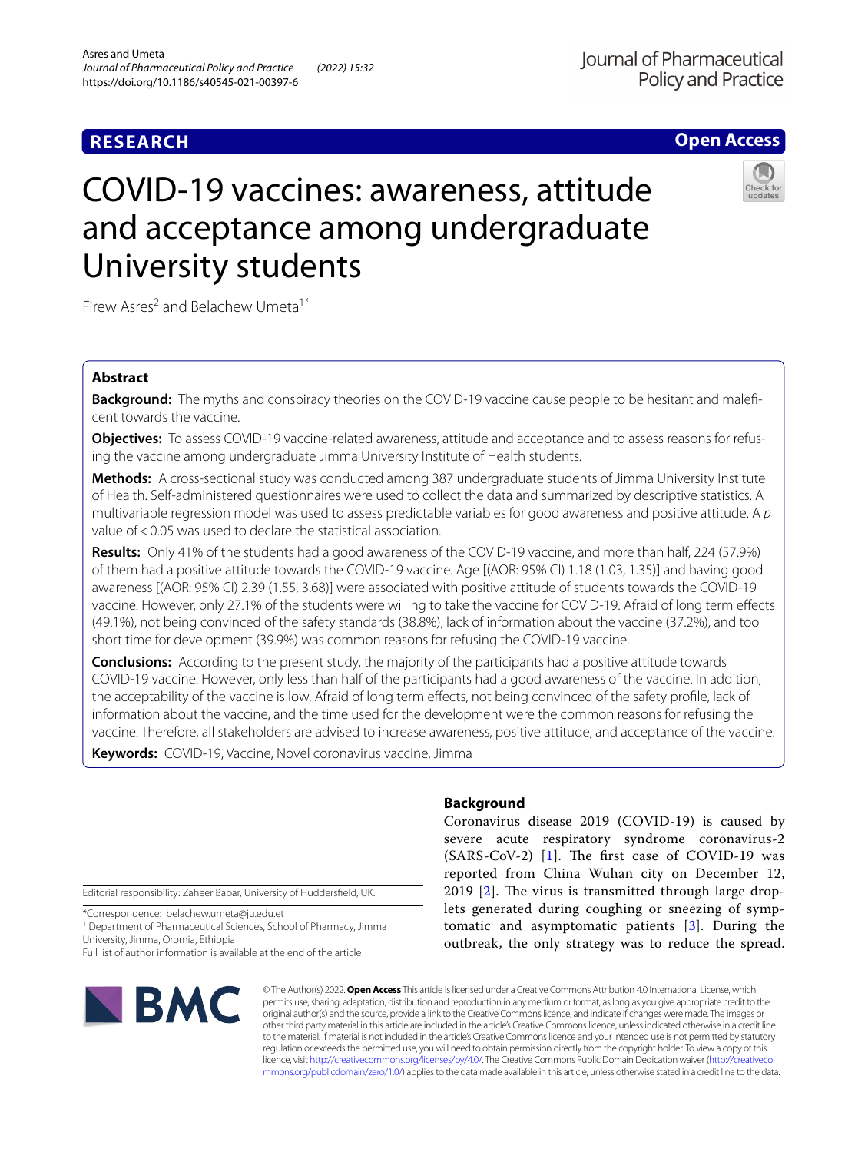# **RESEARCH**

# **Open Access**

# COVID-19 vaccines: awareness, attitude and acceptance among undergraduate University students

Firew Asres<sup>2</sup> and Belachew Umeta<sup>1\*</sup>

# **Abstract**

**Background:** The myths and conspiracy theories on the COVID-19 vaccine cause people to be hesitant and maleficent towards the vaccine.

**Objectives:** To assess COVID-19 vaccine-related awareness, attitude and acceptance and to assess reasons for refusing the vaccine among undergraduate Jimma University Institute of Health students.

**Methods:** A cross-sectional study was conducted among 387 undergraduate students of Jimma University Institute of Health. Self-administered questionnaires were used to collect the data and summarized by descriptive statistics. A multivariable regression model was used to assess predictable variables for good awareness and positive attitude. A *p* value of <0.05 was used to declare the statistical association.

**Results:** Only 41% of the students had a good awareness of the COVID-19 vaccine, and more than half, 224 (57.9%) of them had a positive attitude towards the COVID-19 vaccine. Age [(AOR: 95% CI) 1.18 (1.03, 1.35)] and having good awareness [(AOR: 95% CI) 2.39 (1.55, 3.68)] were associated with positive attitude of students towards the COVID-19 vaccine. However, only 27.1% of the students were willing to take the vaccine for COVID-19. Afraid of long term efects (49.1%), not being convinced of the safety standards (38.8%), lack of information about the vaccine (37.2%), and too short time for development (39.9%) was common reasons for refusing the COVID-19 vaccine.

**Conclusions:** According to the present study, the majority of the participants had a positive attitude towards COVID-19 vaccine. However, only less than half of the participants had a good awareness of the vaccine. In addition, the acceptability of the vaccine is low. Afraid of long term efects, not being convinced of the safety profle, lack of information about the vaccine, and the time used for the development were the common reasons for refusing the vaccine. Therefore, all stakeholders are advised to increase awareness, positive attitude, and acceptance of the vaccine.

**Keywords:** COVID-19, Vaccine, Novel coronavirus vaccine, Jimma

Editorial responsibility: Zaheer Babar, University of Huddersfeld, UK.

\*Correspondence: belachew.umeta@ju.edu.et

<sup>1</sup> Department of Pharmaceutical Sciences, School of Pharmacy, Jimma University, Jimma, Oromia, Ethiopia

Full list of author information is available at the end of the article



# **Background**

Coronavirus disease 2019 (COVID-19) is caused by severe acute respiratory syndrome coronavirus-2  $(SARS-CoV-2)$  [[1\]](#page-6-0). The first case of COVID-19 was reported from China Wuhan city on December 12, 2019  $[2]$  $[2]$ . The virus is transmitted through large droplets generated during coughing or sneezing of symptomatic and asymptomatic patients [[3\]](#page-6-2). During the outbreak, the only strategy was to reduce the spread.

© The Author(s) 2022. **Open Access** This article is licensed under a Creative Commons Attribution 4.0 International License, which permits use, sharing, adaptation, distribution and reproduction in any medium or format, as long as you give appropriate credit to the original author(s) and the source, provide a link to the Creative Commons licence, and indicate if changes were made. The images or other third party material in this article are included in the article's Creative Commons licence, unless indicated otherwise in a credit line to the material. If material is not included in the article's Creative Commons licence and your intended use is not permitted by statutory regulation or exceeds the permitted use, you will need to obtain permission directly from the copyright holder. To view a copy of this licence, visit [http://creativecommons.org/licenses/by/4.0/.](http://creativecommons.org/licenses/by/4.0/) The Creative Commons Public Domain Dedication waiver ([http://creativeco](http://creativecommons.org/publicdomain/zero/1.0/) [mmons.org/publicdomain/zero/1.0/](http://creativecommons.org/publicdomain/zero/1.0/)) applies to the data made available in this article, unless otherwise stated in a credit line to the data.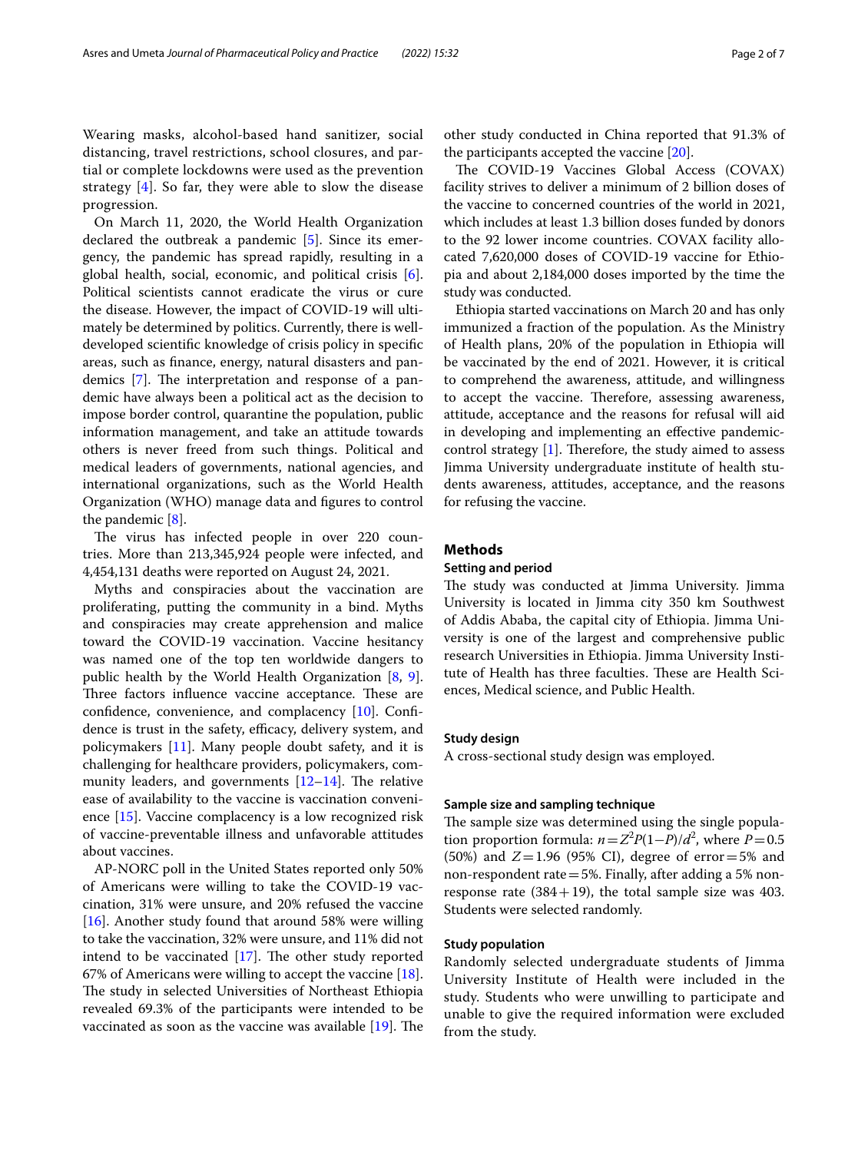Wearing masks, alcohol-based hand sanitizer, social distancing, travel restrictions, school closures, and partial or complete lockdowns were used as the prevention strategy [[4](#page-6-3)]. So far, they were able to slow the disease progression.

On March 11, 2020, the World Health Organization declared the outbreak a pandemic [\[5\]](#page-6-4). Since its emergency, the pandemic has spread rapidly, resulting in a global health, social, economic, and political crisis [\[6](#page-6-5)]. Political scientists cannot eradicate the virus or cure the disease. However, the impact of COVID-19 will ultimately be determined by politics. Currently, there is welldeveloped scientifc knowledge of crisis policy in specifc areas, such as fnance, energy, natural disasters and pandemics  $[7]$  $[7]$ . The interpretation and response of a pandemic have always been a political act as the decision to impose border control, quarantine the population, public information management, and take an attitude towards others is never freed from such things. Political and medical leaders of governments, national agencies, and international organizations, such as the World Health Organization (WHO) manage data and fgures to control the pandemic [[8\]](#page-6-7).

The virus has infected people in over 220 countries. More than 213,345,924 people were infected, and 4,454,131 deaths were reported on August 24, 2021.

Myths and conspiracies about the vaccination are proliferating, putting the community in a bind. Myths and conspiracies may create apprehension and malice toward the COVID-19 vaccination. Vaccine hesitancy was named one of the top ten worldwide dangers to public health by the World Health Organization [\[8,](#page-6-7) [9](#page-6-8)]. Three factors influence vaccine acceptance. These are confdence, convenience, and complacency [[10\]](#page-6-9). Confdence is trust in the safety, efficacy, delivery system, and policymakers [[11](#page-6-10)]. Many people doubt safety, and it is challenging for healthcare providers, policymakers, community leaders, and governments  $[12-14]$  $[12-14]$  $[12-14]$ . The relative ease of availability to the vaccine is vaccination convenience [[15\]](#page-6-13). Vaccine complacency is a low recognized risk of vaccine-preventable illness and unfavorable attitudes about vaccines.

AP-NORC poll in the United States reported only 50% of Americans were willing to take the COVID-19 vaccination, 31% were unsure, and 20% refused the vaccine [[16\]](#page-6-14). Another study found that around 58% were willing to take the vaccination, 32% were unsure, and 11% did not intend to be vaccinated  $[17]$ . The other study reported 67% of Americans were willing to accept the vaccine [\[18](#page-6-16)]. The study in selected Universities of Northeast Ethiopia revealed 69.3% of the participants were intended to be vaccinated as soon as the vaccine was available  $[19]$ . The other study conducted in China reported that 91.3% of the participants accepted the vaccine [\[20\]](#page-6-18).

The COVID-19 Vaccines Global Access (COVAX) facility strives to deliver a minimum of 2 billion doses of the vaccine to concerned countries of the world in 2021, which includes at least 1.3 billion doses funded by donors to the 92 lower income countries. COVAX facility allocated 7,620,000 doses of COVID-19 vaccine for Ethiopia and about 2,184,000 doses imported by the time the study was conducted.

Ethiopia started vaccinations on March 20 and has only immunized a fraction of the population. As the Ministry of Health plans, 20% of the population in Ethiopia will be vaccinated by the end of 2021. However, it is critical to comprehend the awareness, attitude, and willingness to accept the vaccine. Therefore, assessing awareness, attitude, acceptance and the reasons for refusal will aid in developing and implementing an efective pandemiccontrol strategy  $[1]$  $[1]$ . Therefore, the study aimed to assess Jimma University undergraduate institute of health students awareness, attitudes, acceptance, and the reasons for refusing the vaccine.

#### **Methods**

#### **Setting and period**

The study was conducted at Jimma University. Jimma University is located in Jimma city 350 km Southwest of Addis Ababa, the capital city of Ethiopia. Jimma University is one of the largest and comprehensive public research Universities in Ethiopia. Jimma University Institute of Health has three faculties. These are Health Sciences, Medical science, and Public Health.

#### **Study design**

A cross-sectional study design was employed.

#### **Sample size and sampling technique**

The sample size was determined using the single population proportion formula:  $n = Z^2 P(1-P)/d^2$ , where  $P = 0.5$ (50%) and *Z*=1.96 (95% CI), degree of error=5% and non-respondent rate=5%. Finally, after adding a 5% nonresponse rate  $(384+19)$ , the total sample size was 403. Students were selected randomly.

#### **Study population**

Randomly selected undergraduate students of Jimma University Institute of Health were included in the study. Students who were unwilling to participate and unable to give the required information were excluded from the study.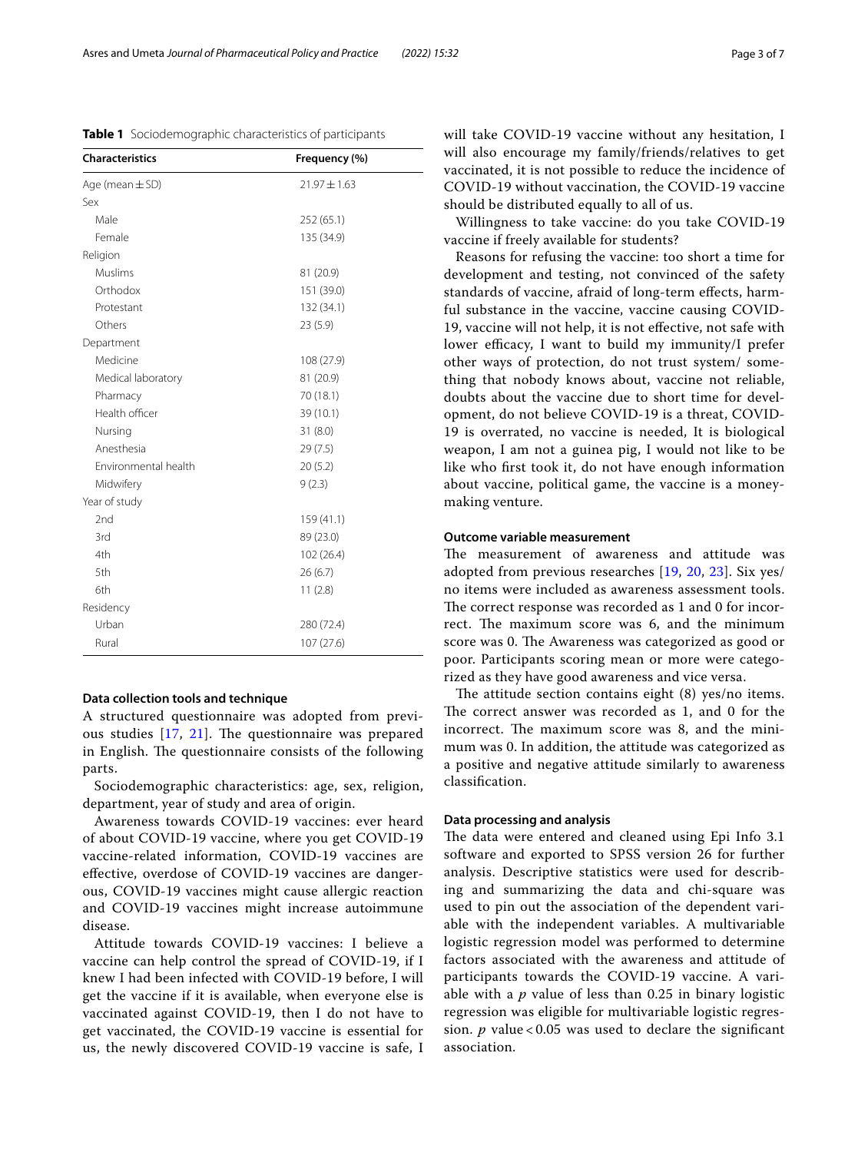<span id="page-2-0"></span>**Table 1** Sociodemographic characteristics of participants

| <b>Characteristics</b> | Frequency (%)    |  |  |
|------------------------|------------------|--|--|
| Age (mean $\pm$ SD)    | $21.97 \pm 1.63$ |  |  |
| Sex                    |                  |  |  |
| Male                   | 252 (65.1)       |  |  |
| Female                 | 135 (34.9)       |  |  |
| Religion               |                  |  |  |
| Muslims                | 81 (20.9)        |  |  |
| Orthodox               | 151 (39.0)       |  |  |
| Protestant             | 132 (34.1)       |  |  |
| Others                 | 23(5.9)          |  |  |
| Department             |                  |  |  |
| Medicine               | 108 (27.9)       |  |  |
| Medical laboratory     | 81 (20.9)        |  |  |
| Pharmacy               | 70 (18.1)        |  |  |
| Health officer         | 39 (10.1)        |  |  |
| Nursing                | 31(8.0)          |  |  |
| Anesthesia             | 29 (7.5)         |  |  |
| Environmental health   | 20(5.2)          |  |  |
| Midwifery              | 9(2.3)           |  |  |
| Year of study          |                  |  |  |
| 2nd                    | 159 (41.1)       |  |  |
| 3rd                    | 89 (23.0)        |  |  |
| 4th                    | 102 (26.4)       |  |  |
| 5th                    | 26(6.7)          |  |  |
| 6th                    | 11(2.8)          |  |  |
| Residency              |                  |  |  |
| Urban                  | 280 (72.4)       |  |  |
| Rural                  | 107 (27.6)       |  |  |

#### **Data collection tools and technique**

A structured questionnaire was adopted from previous studies  $[17, 21]$  $[17, 21]$  $[17, 21]$  $[17, 21]$  $[17, 21]$ . The questionnaire was prepared in English. The questionnaire consists of the following parts.

Sociodemographic characteristics: age, sex, religion, department, year of study and area of origin.

Awareness towards COVID-19 vaccines: ever heard of about COVID-19 vaccine, where you get COVID-19 vaccine-related information, COVID-19 vaccines are efective, overdose of COVID-19 vaccines are dangerous, COVID-19 vaccines might cause allergic reaction and COVID-19 vaccines might increase autoimmune disease.

Attitude towards COVID-19 vaccines: I believe a vaccine can help control the spread of COVID-19, if I knew I had been infected with COVID-19 before, I will get the vaccine if it is available, when everyone else is vaccinated against COVID-19, then I do not have to get vaccinated, the COVID-19 vaccine is essential for us, the newly discovered COVID-19 vaccine is safe, I will take COVID-19 vaccine without any hesitation, I will also encourage my family/friends/relatives to get vaccinated, it is not possible to reduce the incidence of COVID-19 without vaccination, the COVID-19 vaccine should be distributed equally to all of us.

Willingness to take vaccine: do you take COVID-19 vaccine if freely available for students?

Reasons for refusing the vaccine: too short a time for development and testing, not convinced of the safety standards of vaccine, afraid of long-term efects, harmful substance in the vaccine, vaccine causing COVID-19, vaccine will not help, it is not efective, not safe with lower efficacy, I want to build my immunity/I prefer other ways of protection, do not trust system/ something that nobody knows about, vaccine not reliable, doubts about the vaccine due to short time for development, do not believe COVID-19 is a threat, COVID-19 is overrated, no vaccine is needed, It is biological weapon, I am not a guinea pig, I would not like to be like who frst took it, do not have enough information about vaccine, political game, the vaccine is a moneymaking venture.

#### **Outcome variable measurement**

The measurement of awareness and attitude was adopted from previous researches [[19,](#page-6-17) [20](#page-6-18), [23\]](#page-6-20). Six yes/ no items were included as awareness assessment tools. The correct response was recorded as 1 and 0 for incorrect. The maximum score was 6, and the minimum score was 0. The Awareness was categorized as good or poor. Participants scoring mean or more were categorized as they have good awareness and vice versa.

The attitude section contains eight  $(8)$  yes/no items. The correct answer was recorded as  $1$ , and  $0$  for the incorrect. The maximum score was 8, and the minimum was 0. In addition, the attitude was categorized as a positive and negative attitude similarly to awareness classifcation.

#### **Data processing and analysis**

The data were entered and cleaned using Epi Info 3.1 software and exported to SPSS version 26 for further analysis. Descriptive statistics were used for describing and summarizing the data and chi-square was used to pin out the association of the dependent variable with the independent variables. A multivariable logistic regression model was performed to determine factors associated with the awareness and attitude of participants towards the COVID-19 vaccine. A variable with a *p* value of less than 0.25 in binary logistic regression was eligible for multivariable logistic regression. *p* value < 0.05 was used to declare the signifcant association.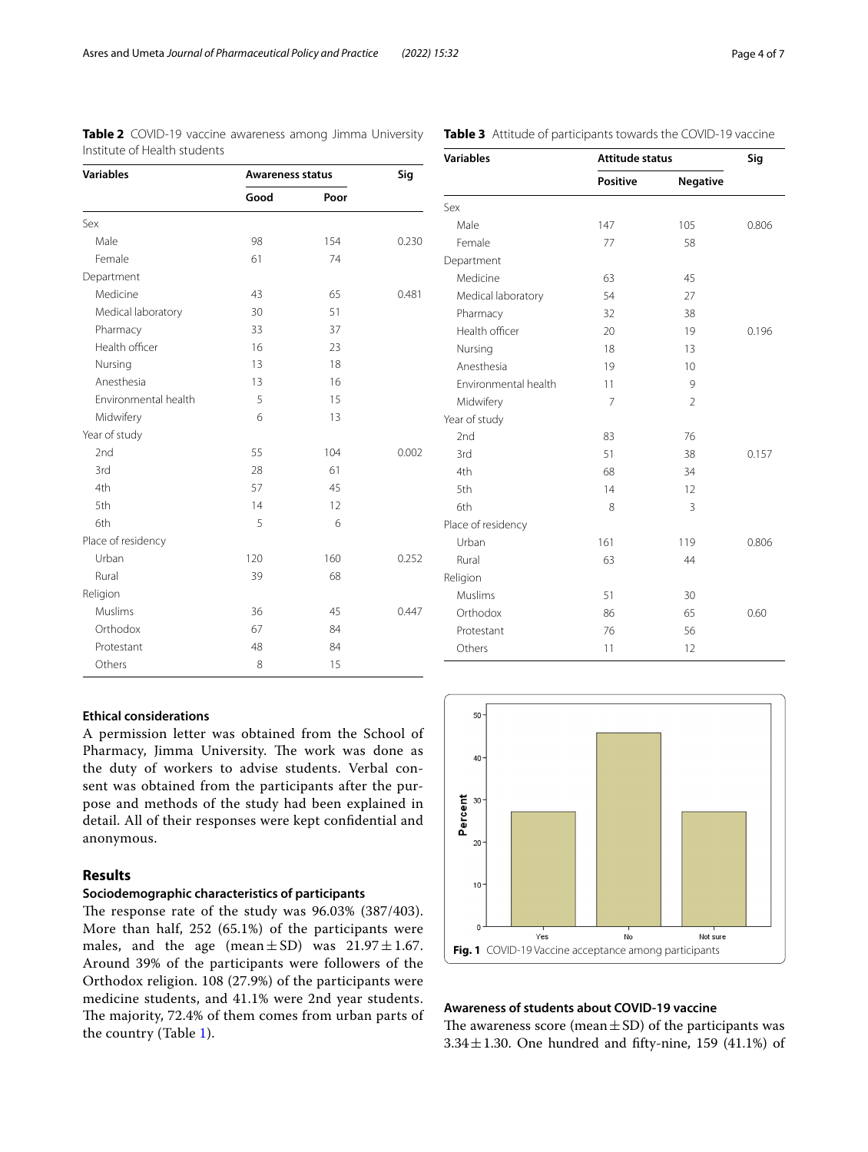| <b>Variables</b>            | Awareness status | Sig  |       |  |
|-----------------------------|------------------|------|-------|--|
|                             | Good             | Poor |       |  |
| Sex                         |                  |      |       |  |
| Male                        | 98               | 154  | 0.230 |  |
| Female                      | 61               | 74   |       |  |
| Department                  |                  |      |       |  |
| Medicine                    | 43               | 65   | 0.481 |  |
| Medical laboratory          | 30               | 51   |       |  |
| Pharmacy                    | 33               | 37   |       |  |
| Health officer              | 16               | 23   |       |  |
| Nursing                     | 13               | 18   |       |  |
| Anesthesia                  | 13               | 16   |       |  |
| <b>Fnvironmental health</b> | 5                | 15   |       |  |
| Midwifery                   | 6                | 13   |       |  |
| Year of study               |                  |      |       |  |
| 2nd                         | 55               | 104  | 0.002 |  |
| 3rd                         | 28               | 61   |       |  |
| 4th                         | 57               | 45   |       |  |
| 5th                         | 14               | 12   |       |  |
| 6th                         | 5                | 6    |       |  |
| Place of residency          |                  |      |       |  |
| Urban                       | 120              | 160  | 0.252 |  |
| Rural                       | 39               | 68   |       |  |
| Religion                    |                  |      |       |  |
| <b>Muslims</b>              | 36               | 45   | 0.447 |  |
| Orthodox                    | 67               | 84   |       |  |
| Protestant                  | 48               | 84   |       |  |
| Others                      | 8                | 15   |       |  |

<span id="page-3-0"></span>**Table 2** COVID-19 vaccine awareness among Jimma University Institute of Health students

#### <span id="page-3-1"></span>**Table 3** Attitude of participants towards the COVID-19 vaccine

| <b>Variables</b>     | Attitude status | Sig            |       |  |
|----------------------|-----------------|----------------|-------|--|
|                      | Positive        | Negative       |       |  |
| Sex                  |                 |                |       |  |
| Male                 | 147             | 105            | 0.806 |  |
| Female               | 77              | 58             |       |  |
| Department           |                 |                |       |  |
| Medicine             | 63              | 45             |       |  |
| Medical laboratory   | 54              | 27             |       |  |
| Pharmacy             | 32              | 38             |       |  |
| Health officer       | 20              | 19             | 0.196 |  |
| Nursing              | 18              | 13             |       |  |
| Anesthesia           | 19              | 10             |       |  |
| Environmental health | 11              | 9              |       |  |
| Midwifery            | $\overline{7}$  | $\overline{2}$ |       |  |
| Year of study        |                 |                |       |  |
| 2nd                  | 83              | 76             |       |  |
| 3rd                  | 51              | 38             | 0.157 |  |
| 4th                  | 68              | 34             |       |  |
| 5th                  | 14              | 12             |       |  |
| 6th                  | 8               | 3              |       |  |
| Place of residency   |                 |                |       |  |
| Urban                | 161             | 119            | 0.806 |  |
| Rural                | 63              | 44             |       |  |
| Religion             |                 |                |       |  |
| Muslims              | 51              | 30             |       |  |
| Orthodox             | 86              | 65             | 0.60  |  |
| Protestant           | 76              | 56             |       |  |
| Others               | 11              | 12             |       |  |

#### **Ethical considerations**

A permission letter was obtained from the School of Pharmacy, Jimma University. The work was done as the duty of workers to advise students. Verbal consent was obtained from the participants after the purpose and methods of the study had been explained in detail. All of their responses were kept confdential and anonymous.

### **Results**

#### **Sociodemographic characteristics of participants**

The response rate of the study was 96.03% (387/403). More than half, 252 (65.1%) of the participants were males, and the age (mean $\pm$ SD) was 21.97 $\pm$ 1.67. Around 39% of the participants were followers of the Orthodox religion. 108 (27.9%) of the participants were medicine students, and 41.1% were 2nd year students. The majority, 72.4% of them comes from urban parts of the country (Table [1\)](#page-2-0).



# <span id="page-3-2"></span>**Awareness of students about COVID‑19 vaccine**

The awareness score (mean  $\pm$  SD) of the participants was  $3.34 \pm 1.30$ . One hundred and fifty-nine, 159 (41.1%) of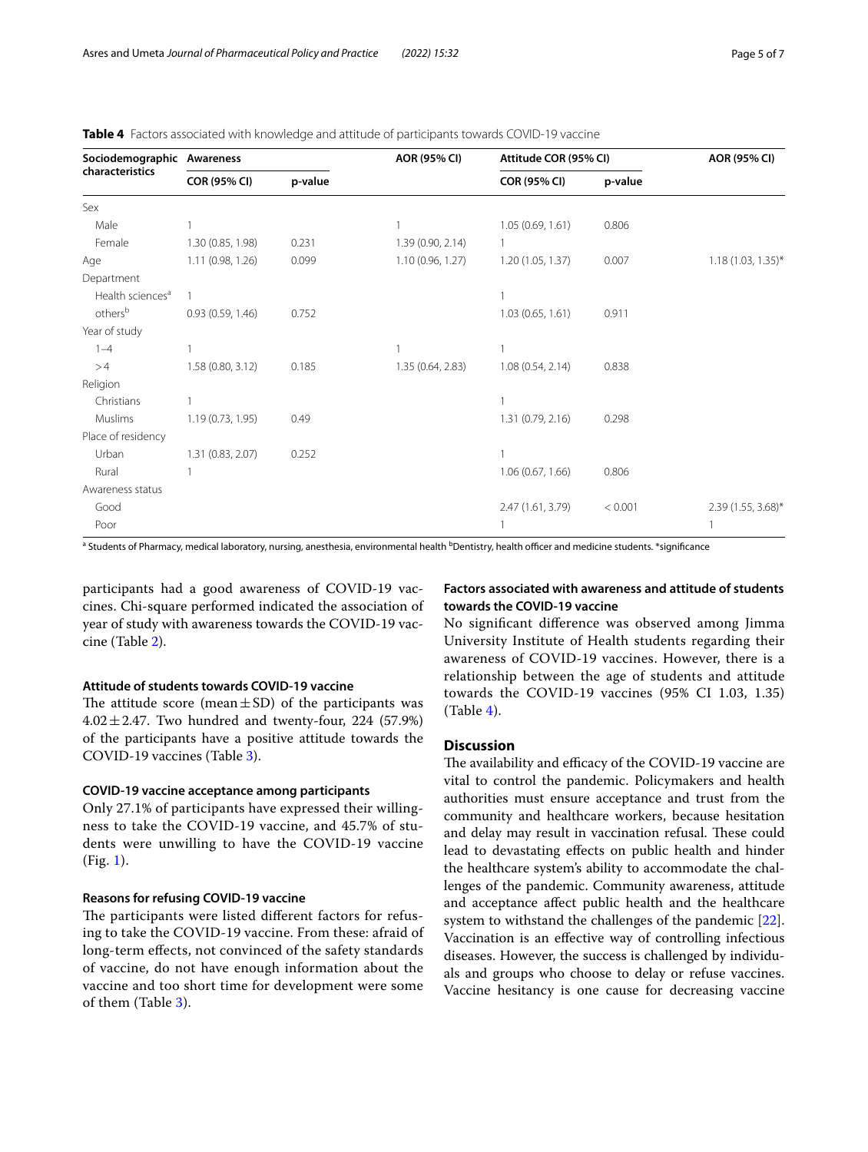<span id="page-4-0"></span>

|  | <b>Table 4</b> Factors associated with knowledge and attitude of participants towards COVID-19 vaccine |  |  |  |  |
|--|--------------------------------------------------------------------------------------------------------|--|--|--|--|
|--|--------------------------------------------------------------------------------------------------------|--|--|--|--|

| Sociodemographic Awareness<br>characteristics |                     |         | AOR (95% CI)      | Attitude COR (95% CI) |         | AOR (95% CI)         |
|-----------------------------------------------|---------------------|---------|-------------------|-----------------------|---------|----------------------|
|                                               | <b>COR (95% CI)</b> | p-value |                   | <b>COR (95% CI)</b>   | p-value |                      |
| Sex                                           |                     |         |                   |                       |         |                      |
| Male                                          |                     |         | 1                 | 1.05(0.69, 1.61)      | 0.806   |                      |
| Female                                        | 1.30 (0.85, 1.98)   | 0.231   | 1.39 (0.90, 2.14) |                       |         |                      |
| Age                                           | 1.11 (0.98, 1.26)   | 0.099   | 1.10 (0.96, 1.27) | 1.20(1.05, 1.37)      | 0.007   | $1.18(1.03, 1.35)^*$ |
| Department                                    |                     |         |                   |                       |         |                      |
| Health sciences <sup>a</sup>                  |                     |         |                   |                       |         |                      |
| others <sup>b</sup>                           | 0.93(0.59, 1.46)    | 0.752   |                   | 1.03(0.65, 1.61)      | 0.911   |                      |
| Year of study                                 |                     |         |                   |                       |         |                      |
| $1 - 4$                                       |                     |         |                   |                       |         |                      |
| >4                                            | 1.58 (0.80, 3.12)   | 0.185   | 1.35 (0.64, 2.83) | 1.08(0.54, 2.14)      | 0.838   |                      |
| Religion                                      |                     |         |                   |                       |         |                      |
| Christians                                    |                     |         |                   |                       |         |                      |
| Muslims                                       | 1.19 (0.73, 1.95)   | 0.49    |                   | 1.31 (0.79, 2.16)     | 0.298   |                      |
| Place of residency                            |                     |         |                   |                       |         |                      |
| Urban                                         | 1.31 (0.83, 2.07)   | 0.252   |                   |                       |         |                      |
| Rural                                         |                     |         |                   | 1.06(0.67, 1.66)      | 0.806   |                      |
| Awareness status                              |                     |         |                   |                       |         |                      |
| Good                                          |                     |         |                   | 2.47 (1.61, 3.79)     | < 0.001 | 2.39 (1.55, 3.68)*   |
| Poor                                          |                     |         |                   |                       |         |                      |

<sup>a</sup> Students of Pharmacy, medical laboratory, nursing, anesthesia, environmental health <sup>b</sup>Dentistry, health officer and medicine students. \*significance

participants had a good awareness of COVID-19 vaccines. Chi-square performed indicated the association of year of study with awareness towards the COVID-19 vaccine (Table [2\)](#page-3-0).

#### **Attitude of students towards COVID‑19 vaccine**

The attitude score (mean $\pm$ SD) of the participants was  $4.02 \pm 2.47$ . Two hundred and twenty-four, 224 (57.9%) of the participants have a positive attitude towards the COVID-19 vaccines (Table [3\)](#page-3-1).

#### **COVID‑19 vaccine acceptance among participants**

Only 27.1% of participants have expressed their willingness to take the COVID-19 vaccine, and 45.7% of students were unwilling to have the COVID-19 vaccine (Fig. [1\)](#page-3-2).

#### **Reasons for refusing COVID‑19 vaccine**

The participants were listed different factors for refusing to take the COVID-19 vaccine. From these: afraid of long-term effects, not convinced of the safety standards of vaccine, do not have enough information about the vaccine and too short time for development were some of them (Table [3\)](#page-3-1).

#### **Factors associated with awareness and attitude of students towards the COVID‑19 vaccine**

No signifcant diference was observed among Jimma University Institute of Health students regarding their awareness of COVID-19 vaccines. However, there is a relationship between the age of students and attitude towards the COVID-19 vaccines (95% CI 1.03, 1.35) (Table [4\)](#page-4-0).

## **Discussion**

The availability and efficacy of the COVID-19 vaccine are vital to control the pandemic. Policymakers and health authorities must ensure acceptance and trust from the community and healthcare workers, because hesitation and delay may result in vaccination refusal. These could lead to devastating efects on public health and hinder the healthcare system's ability to accommodate the challenges of the pandemic. Community awareness, attitude and acceptance afect public health and the healthcare system to withstand the challenges of the pandemic [\[22](#page-6-21)]. Vaccination is an efective way of controlling infectious diseases. However, the success is challenged by individuals and groups who choose to delay or refuse vaccines. Vaccine hesitancy is one cause for decreasing vaccine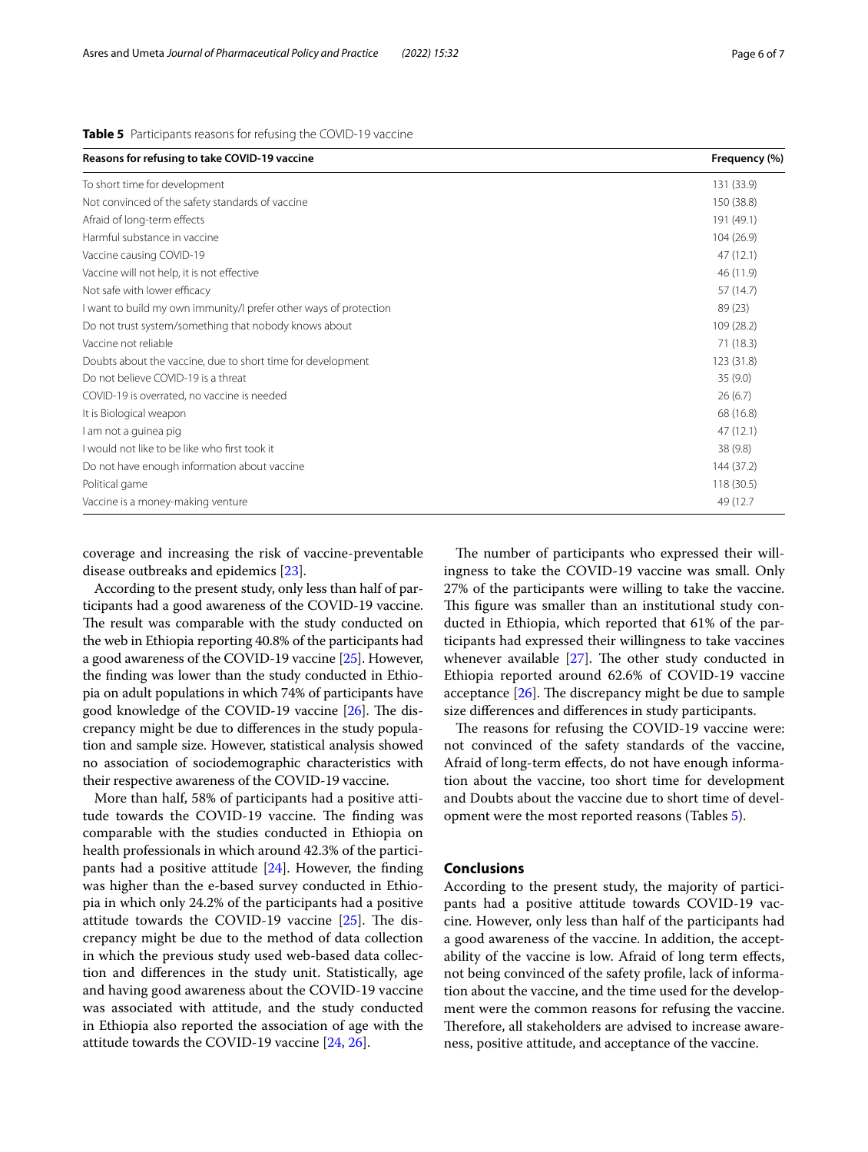#### <span id="page-5-0"></span>**Table 5** Participants reasons for refusing the COVID-19 vaccine

| Reasons for refusing to take COVID-19 vaccine                     | Frequency (%) |
|-------------------------------------------------------------------|---------------|
| To short time for development                                     | 131 (33.9)    |
| Not convinced of the safety standards of vaccine                  | 150 (38.8)    |
| Afraid of long-term effects                                       | 191 (49.1)    |
| Harmful substance in vaccine                                      | 104 (26.9)    |
| Vaccine causing COVID-19                                          | 47(12.1)      |
| Vaccine will not help, it is not effective                        | 46 (11.9)     |
| Not safe with lower efficacy                                      | 57 (14.7)     |
| I want to build my own immunity/I prefer other ways of protection | 89(23)        |
| Do not trust system/something that nobody knows about             | 109 (28.2)    |
| Vaccine not reliable                                              | 71(18.3)      |
| Doubts about the vaccine, due to short time for development       | 123 (31.8)    |
| Do not believe COVID-19 is a threat                               | 35(9.0)       |
| COVID-19 is overrated, no vaccine is needed                       | 26(6.7)       |
| It is Biological weapon                                           | 68 (16.8)     |
| I am not a guinea pig                                             | 47(12.1)      |
| I would not like to be like who first took it                     | 38(9.8)       |
| Do not have enough information about vaccine                      | 144 (37.2)    |
| Political game                                                    | 118(30.5)     |
| Vaccine is a money-making venture                                 | 49 (12.7)     |

coverage and increasing the risk of vaccine-preventable disease outbreaks and epidemics [\[23](#page-6-20)].

According to the present study, only less than half of participants had a good awareness of the COVID-19 vaccine. The result was comparable with the study conducted on the web in Ethiopia reporting 40.8% of the participants had a good awareness of the COVID-19 vaccine [[25](#page-6-22)]. However, the fnding was lower than the study conducted in Ethiopia on adult populations in which 74% of participants have good knowledge of the COVID-19 vaccine  $[26]$  $[26]$  $[26]$ . The discrepancy might be due to diferences in the study population and sample size. However, statistical analysis showed no association of sociodemographic characteristics with their respective awareness of the COVID-19 vaccine.

More than half, 58% of participants had a positive attitude towards the COVID-19 vaccine. The finding was comparable with the studies conducted in Ethiopia on health professionals in which around 42.3% of the participants had a positive attitude [[24\]](#page-6-24). However, the fnding was higher than the e-based survey conducted in Ethiopia in which only 24.2% of the participants had a positive attitude towards the COVID-19 vaccine  $[25]$  $[25]$ . The discrepancy might be due to the method of data collection in which the previous study used web-based data collection and diferences in the study unit. Statistically, age and having good awareness about the COVID-19 vaccine was associated with attitude, and the study conducted in Ethiopia also reported the association of age with the attitude towards the COVID-19 vaccine [[24](#page-6-24), [26\]](#page-6-23).

The number of participants who expressed their willingness to take the COVID-19 vaccine was small. Only 27% of the participants were willing to take the vaccine. This figure was smaller than an institutional study conducted in Ethiopia, which reported that 61% of the participants had expressed their willingness to take vaccines whenever available  $[27]$  $[27]$ . The other study conducted in Ethiopia reported around 62.6% of COVID-19 vaccine acceptance  $[26]$  $[26]$ . The discrepancy might be due to sample size diferences and diferences in study participants.

The reasons for refusing the COVID-19 vaccine were: not convinced of the safety standards of the vaccine, Afraid of long-term efects, do not have enough information about the vaccine, too short time for development and Doubts about the vaccine due to short time of development were the most reported reasons (Tables [5\)](#page-5-0).

#### **Conclusions**

According to the present study, the majority of participants had a positive attitude towards COVID-19 vaccine. However, only less than half of the participants had a good awareness of the vaccine. In addition, the acceptability of the vaccine is low. Afraid of long term efects, not being convinced of the safety profle, lack of information about the vaccine, and the time used for the development were the common reasons for refusing the vaccine. Therefore, all stakeholders are advised to increase awareness, positive attitude, and acceptance of the vaccine.